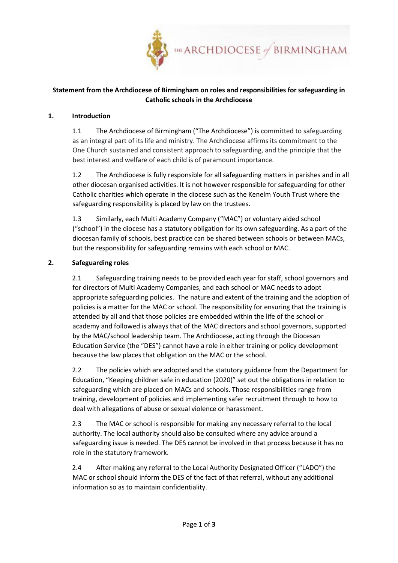

## **Statement from the Archdiocese of Birmingham on roles and responsibilities for safeguarding in Catholic schools in the Archdiocese**

#### **1. Introduction**

1.1 The Archdiocese of Birmingham ("The Archdiocese") is committed to safeguarding as an integral part of its life and ministry. The Archdiocese affirms its commitment to the One Church sustained and consistent approach to safeguarding, and the principle that the best interest and welfare of each child is of paramount importance.

1.2 The Archdiocese is fully responsible for all safeguarding matters in parishes and in all other diocesan organised activities. It is not however responsible for safeguarding for other Catholic charities which operate in the diocese such as the Kenelm Youth Trust where the safeguarding responsibility is placed by law on the trustees.

1.3 Similarly, each Multi Academy Company ("MAC") or voluntary aided school ("school") in the diocese has a statutory obligation for its own safeguarding. As a part of the diocesan family of schools, best practice can be shared between schools or between MACs, but the responsibility for safeguarding remains with each school or MAC.

### **2. Safeguarding roles**

2.1 Safeguarding training needs to be provided each year for staff, school governors and for directors of Multi Academy Companies, and each school or MAC needs to adopt appropriate safeguarding policies. The nature and extent of the training and the adoption of policies is a matter for the MAC or school. The responsibility for ensuring that the training is attended by all and that those policies are embedded within the life of the school or academy and followed is always that of the MAC directors and school governors, supported by the MAC/school leadership team. The Archdiocese, acting through the Diocesan Education Service (the "DES") cannot have a role in either training or policy development because the law places that obligation on the MAC or the school.

2.2 The policies which are adopted and the statutory guidance from the Department for Education, "Keeping children safe in education (2020)" set out the obligations in relation to safeguarding which are placed on MACs and schools. Those responsibilities range from training, development of policies and implementing safer recruitment through to how to deal with allegations of abuse or sexual violence or harassment.

2.3 The MAC or school is responsible for making any necessary referral to the local authority. The local authority should also be consulted where any advice around a safeguarding issue is needed. The DES cannot be involved in that process because it has no role in the statutory framework.

2.4 After making any referral to the Local Authority Designated Officer ("LADO") the MAC or school should inform the DES of the fact of that referral, without any additional information so as to maintain confidentiality.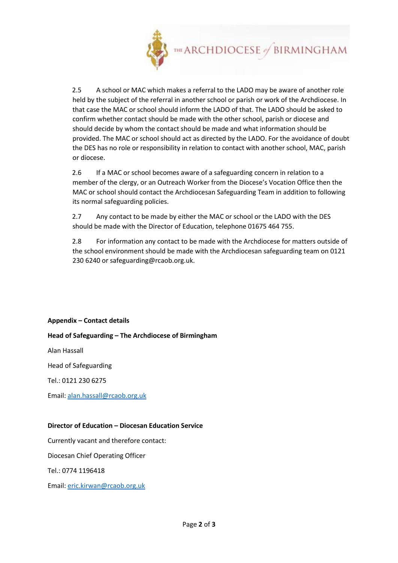

2.5 A school or MAC which makes a referral to the LADO may be aware of another role held by the subject of the referral in another school or parish or work of the Archdiocese. In that case the MAC or school should inform the LADO of that. The LADO should be asked to confirm whether contact should be made with the other school, parish or diocese and should decide by whom the contact should be made and what information should be provided. The MAC or school should act as directed by the LADO. For the avoidance of doubt the DES has no role or responsibility in relation to contact with another school, MAC, parish or diocese.

2.6 If a MAC or school becomes aware of a safeguarding concern in relation to a member of the clergy, or an Outreach Worker from the Diocese's Vocation Office then the MAC or school should contact the Archdiocesan Safeguarding Team in addition to following its normal safeguarding policies.

2.7 Any contact to be made by either the MAC or school or the LADO with the DES should be made with the Director of Education, telephone 01675 464 755.

2.8 For information any contact to be made with the Archdiocese for matters outside of the school environment should be made with the Archdiocesan safeguarding team on 0121 230 6240 or safeguarding@rcaob.org.uk.

### **Appendix – Contact details**

### **Head of Safeguarding – The Archdiocese of Birmingham**

Alan Hassall

Head of Safeguarding

Tel.: 0121 230 6275

Email: alan.hassall@rcaob.org.uk

#### **Director of Education – Diocesan Education Service**

Currently vacant and therefore contact:

Diocesan Chief Operating Officer

Tel.: 0774 1196418

Email: eric.kirwan@rcaob.org.uk